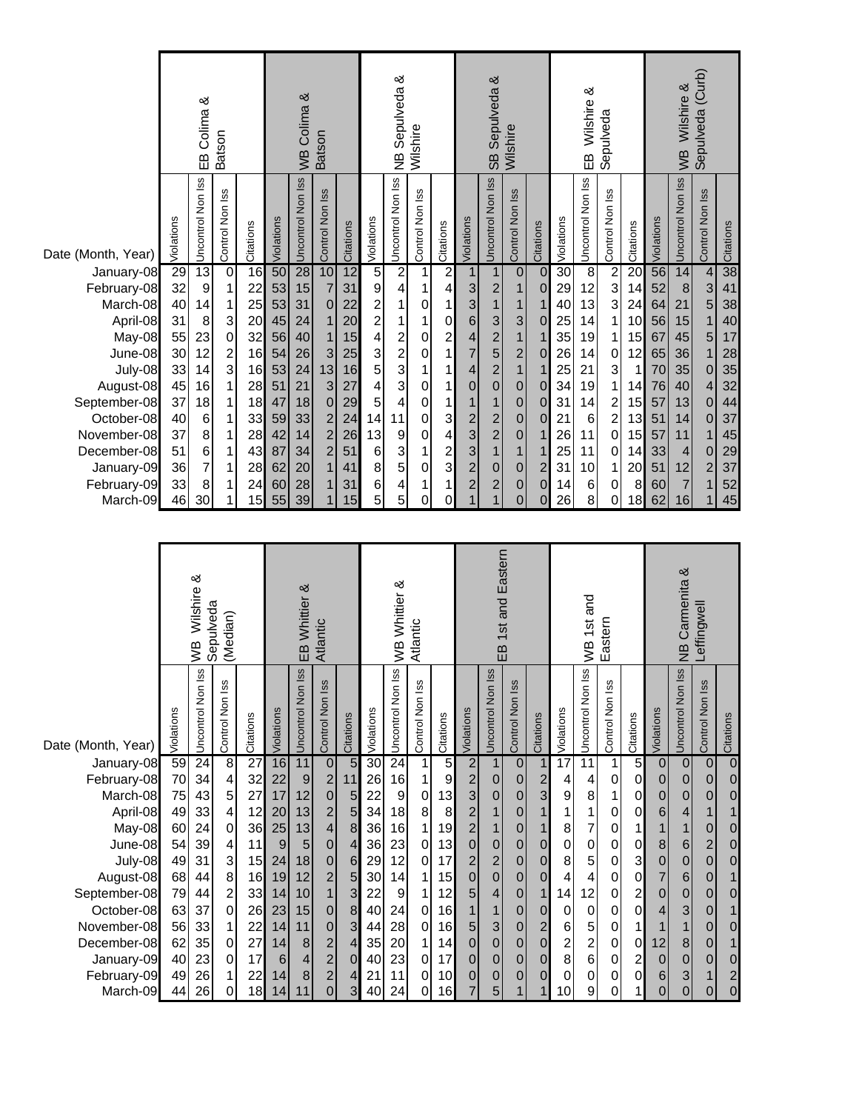|                                                                                                                                                                                                     |                                                                                        | EB Colima &                                                                                                                              | Batson                                                                                                                                                                            |                                                                                        | WB Colima &<br><b>Batson</b>                                                           |                                                                                        |                                                                                                                                                                 |                                                                                        |                                                                           | <b>NB Sepulveda &amp;</b>                                                                                                                       | Wilshire                                                                                                                                                       |                                                                                                        | SB Sepulveda &<br>Wilshire                                                                                                            |                                                                                                                                                                                                 |                                                                                                                                                                                               |                                                                                                                                                                                                                 | EB Wilshire &<br>Sepulveda                                                             |                                                                                                     |                                                                                                                                                       |                                                                                                | Sepulveda (Curb)<br>WB Wilshire &                                                      |                                                                                                                         |                                                                                                                                                                        |                                                                                        |
|-----------------------------------------------------------------------------------------------------------------------------------------------------------------------------------------------------|----------------------------------------------------------------------------------------|------------------------------------------------------------------------------------------------------------------------------------------|-----------------------------------------------------------------------------------------------------------------------------------------------------------------------------------|----------------------------------------------------------------------------------------|----------------------------------------------------------------------------------------|----------------------------------------------------------------------------------------|-----------------------------------------------------------------------------------------------------------------------------------------------------------------|----------------------------------------------------------------------------------------|---------------------------------------------------------------------------|-------------------------------------------------------------------------------------------------------------------------------------------------|----------------------------------------------------------------------------------------------------------------------------------------------------------------|--------------------------------------------------------------------------------------------------------|---------------------------------------------------------------------------------------------------------------------------------------|-------------------------------------------------------------------------------------------------------------------------------------------------------------------------------------------------|-----------------------------------------------------------------------------------------------------------------------------------------------------------------------------------------------|-----------------------------------------------------------------------------------------------------------------------------------------------------------------------------------------------------------------|----------------------------------------------------------------------------------------|-----------------------------------------------------------------------------------------------------|-------------------------------------------------------------------------------------------------------------------------------------------------------|------------------------------------------------------------------------------------------------|----------------------------------------------------------------------------------------|-------------------------------------------------------------------------------------------------------------------------|------------------------------------------------------------------------------------------------------------------------------------------------------------------------|----------------------------------------------------------------------------------------|
| Date (Month, Year)                                                                                                                                                                                  | Violations                                                                             | Uncontrol Non Iss                                                                                                                        | Control Non Iss                                                                                                                                                                   | Citations                                                                              | Violations                                                                             | Uncontrol Non Iss                                                                      | Control Non Iss                                                                                                                                                 | Citations                                                                              | Violations                                                                | Uncontrol Non Iss                                                                                                                               | Control Non Iss                                                                                                                                                | Citations                                                                                              | Violations                                                                                                                            | Uncontrol Non Iss                                                                                                                                                                               | Control Non Iss                                                                                                                                                                               | Citations                                                                                                                                                                                                       | Violations                                                                             | Uncontrol Non Iss                                                                                   | Control Non Iss                                                                                                                                       | Citations                                                                                      | Violations                                                                             | Uncontrol Non Iss                                                                                                       | Control Non Iss                                                                                                                                                        | Citations                                                                              |
| January-08<br>February-08<br>March-08<br>April-08<br>May-08<br>June-08<br>July-08<br>August-08<br>September-08<br>October-08<br>November-08<br>December-08<br>January-09<br>February-09<br>March-09 | 29<br>32<br>40<br>31<br>55<br>30<br>33<br>45<br>37<br>40<br>37<br>51<br>36<br>33<br>46 | 13<br>$\boldsymbol{9}$<br>14<br>$\,8\,$<br>23<br>12<br>14<br>16<br>18<br>$\,$ 6 $\,$<br>8<br>$\,6$<br>$\overline{\mathbf{7}}$<br>8<br>30 | $\overline{0}$<br>$\mathbf 1$<br>$\mathbf{1}$<br>3<br>$\begin{array}{c} 0 \\ 2 \\ 3 \end{array}$<br>$\mathbf{1}$<br>$\mathbf 1$<br>$\mathbf 1$<br>1<br>$\mathbf 1$<br>1<br>1<br>1 | 16<br>22<br>25<br>20<br>32<br>16<br>16<br>28<br>18<br>33<br>28<br>43<br>28<br>24<br>15 | 50<br>53<br>53<br>45<br>56<br>54<br>53<br>51<br>47<br>59<br>42<br>87<br>62<br>60<br>55 | 28<br>15<br>31<br>24<br>40<br>26<br>24<br>21<br>18<br>33<br>14<br>34<br>20<br>28<br>39 | 10<br>$\overline{7}$<br>$\pmb{0}$<br>$\mathbf{1}$<br>$\mathbf 1$<br>3<br>13<br>3<br>$\boldsymbol{0}$<br>$\overline{c}$<br>$\overline{c}$<br>$\overline{c}$<br>1 | 12<br>31<br>22<br>20<br>15<br>25<br>16<br>27<br>29<br>24<br>26<br>51<br>41<br>31<br>15 | 5<br>5<br>4<br>4<br>5<br>5<br>5<br>4<br>5<br>14<br>13<br>6<br>8<br>6<br>5 | $\frac{2}{4}$<br>$\mathbf 1$<br>1<br>$\begin{array}{c} 2 \\ 2 \\ 3 \\ 3 \end{array}$<br>$\overline{\mathcal{L}}$<br>11<br>9<br>3<br>5<br>4<br>5 | 1<br>$\mathbf{1}$<br>$\mathsf{O}\xspace$<br>$\mathbf 1$<br>$\pmb{0}$<br>$\mathbf 0$<br>1<br>0<br>$\mathbf 0$<br>$\mathbf 0$<br>$\mathbf 0$<br>1<br>0<br>1<br>0 | $\frac{2}{4}$<br>1<br>$\overline{O}$<br>$\mathbf{2}$<br>1<br>1<br>1<br>1<br>3<br>4<br>2<br>3<br>1<br>0 | $\overline{1}$<br>ვ<br>ვ<br>$\overline{6}$<br>$\frac{4}{7}$<br>$\overline{\mathcal{L}}$<br>$\overline{0}$<br>$\overline{1}$<br>233221 | $\mathbf{1}$<br>$\overline{c}$<br>1<br>$\mathbf{3}$<br>$\mathbf{2}$<br>5<br>$\overline{c}$<br>$\mathbf 0$<br>1<br>$\overline{c}$<br>$\overline{2}$<br>1<br>$\pmb{0}$<br>$\overline{\mathbf{c}}$ | $\overline{0}$<br>1<br>$\mathbf{1}$<br>$\mathfrak{S}$<br>1<br>$\overline{c}$<br>$\overline{1}$<br>$\pmb{0}$<br>$\pmb{0}$<br>$\mathbf 0$<br>$\pmb{0}$<br>$\mathbf{1}$<br>$\mathbf 0$<br>0<br>0 | $\mathbf 0$<br>$\pmb{0}$<br>$\mathbf{1}$<br>$\pmb{0}$<br>$\mathbf{1}$<br>$\mathbf 0$<br>$\mathbf{1}$<br>$\mathbf 0$<br>$\mathbf 0$<br>$\mathbf 0$<br>1<br>$\mathbf{1}$<br>$\overline{c}$<br>0<br>$\overline{0}$ | 30<br>29<br>40<br>25<br>35<br>26<br>25<br>34<br>31<br>21<br>26<br>25<br>31<br>14<br>26 | $\overline{8}$<br>12<br>13<br>14<br>19<br>14<br>21<br>19<br>14<br>$\,6$<br>11<br>11<br>10<br>6<br>8 | $\frac{2}{3}$<br>$\mathbf{3}$<br>1<br>1<br>$\pmb{0}$<br>$\ensuremath{\mathsf{3}}$<br>$\mathbf{1}$<br>$\frac{2}{2}$<br>$\mathbf 0$<br>0<br>1<br>0<br>0 | 20<br>14<br>24<br>10<br>15<br>12<br>$\mathbf 1$<br>14<br>15<br>13<br>15<br>14<br>20<br>8<br>18 | 56<br>52<br>64<br>56<br>67<br>65<br>70<br>76<br>57<br>51<br>57<br>33<br>51<br>60<br>62 | 14<br>$\,$ 8 $\,$<br>21<br>15<br>45<br>36<br>35<br>40<br>13<br>14<br>11<br>$\overline{4}$<br>12<br>$\overline{7}$<br>16 | $\overline{\mathcal{L}}$<br>3<br>5<br>$\mathbf{1}$<br>5<br>$\mathbf 1$<br>$\mathbf 0$<br>4<br>$\mathbf{0}$<br>$\mathbf{0}$<br>1<br>$\mathbf{0}$<br>$\overline{c}$<br>1 | 38<br>41<br>38<br>40<br>17<br>28<br>35<br>32<br>44<br>37<br>45<br>29<br>37<br>52<br>45 |
|                                                                                                                                                                                                     |                                                                                        | Sepulveda<br>(Median)                                                                                                                    |                                                                                                                                                                                   |                                                                                        |                                                                                        |                                                                                        |                                                                                                                                                                 |                                                                                        |                                                                           |                                                                                                                                                 |                                                                                                                                                                |                                                                                                        |                                                                                                                                       |                                                                                                                                                                                                 |                                                                                                                                                                                               |                                                                                                                                                                                                                 |                                                                                        |                                                                                                     |                                                                                                                                                       |                                                                                                |                                                                                        |                                                                                                                         |                                                                                                                                                                        |                                                                                        |
|                                                                                                                                                                                                     |                                                                                        | WB Wilshire &                                                                                                                            |                                                                                                                                                                                   |                                                                                        |                                                                                        | EB Whittier &                                                                          | Atlantic                                                                                                                                                        |                                                                                        |                                                                           | WB Whittier &                                                                                                                                   | Atlantic                                                                                                                                                       |                                                                                                        |                                                                                                                                       | 1st and Eastern<br>EB                                                                                                                                                                           |                                                                                                                                                                                               |                                                                                                                                                                                                                 |                                                                                        | WB 1st and                                                                                          | Eastern                                                                                                                                               |                                                                                                |                                                                                        | <b>NB Carmenita &amp;</b>                                                                                               | Leffingwell                                                                                                                                                            |                                                                                        |
| Date (Month, Year)<br>January-08                                                                                                                                                                    | <b>Jiolations</b><br>59                                                                | SS<br>Uncontrol Non<br>$\overline{24}$                                                                                                   | ≌<br>Control Non<br>$\overline{8}$                                                                                                                                                | Citations<br>$\overline{27}$                                                           | Violations<br>16                                                                       | Iss<br><b>S</b><br>Uncontrol<br>11                                                     | Non Iss<br>Control<br>$\boldsymbol{0}$                                                                                                                          | Citations<br>$\overline{5}$                                                            | Violations<br>30                                                          | lss<br>Uncontrol Non<br>$\overline{24}$                                                                                                         | Control Non Is                                                                                                                                                 | Citations<br>$\overline{5}$                                                                            | Violations<br>$\overline{\mathbf{c}}$                                                                                                 | lss<br>Uncontrol Non<br>$\mathbf 1$                                                                                                                                                             | Control Non Is<br>$\pmb{0}$                                                                                                                                                                   | Citations<br>$\mathbf{1}$                                                                                                                                                                                       | Violations<br>$\overline{17}$                                                          | Iss<br>Uncontrol Non<br>$\overline{11}$                                                             | Control Non Is<br>$\mathbf{1}$                                                                                                                        | Citations<br>5                                                                                 | Violations<br>$\overline{0}$                                                           | Iss<br>Uncontrol Non<br>$\pmb{0}$                                                                                       | Non Iss<br>Control<br>$\boldsymbol{0}$                                                                                                                                 | Citations<br>$\overline{0}$                                                            |